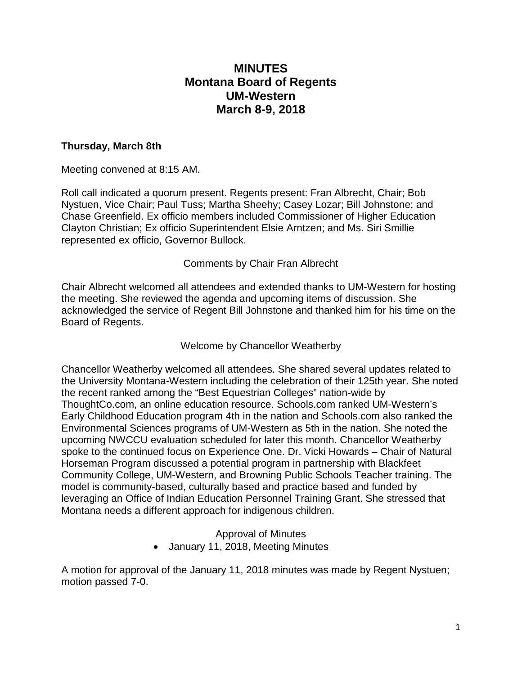# **MINUTES Montana Board of Regents UM-Western March 8-9, 2018**

#### **Thursday, March 8th**

Meeting convened at 8:15 AM.

Roll call indicated a quorum present. Regents present: Fran Albrecht, Chair; Bob Nystuen, Vice Chair; Paul Tuss; Martha Sheehy; Casey Lozar; Bill Johnstone; and Chase Greenfield. Ex officio members included Commissioner of Higher Education Clayton Christian; Ex officio Superintendent Elsie Arntzen; and Ms. Siri Smillie represented ex officio, Governor Bullock.

Comments by Chair Fran Albrecht

Chair Albrecht welcomed all attendees and extended thanks to UM-Western for hosting the meeting. She reviewed the agenda and upcoming items of discussion. She acknowledged the service of Regent Bill Johnstone and thanked him for his time on the Board of Regents.

Welcome by Chancellor Weatherby

Chancellor Weatherby welcomed all attendees. She shared several updates related to the University Montana-Western including the celebration of their 125th year. She noted the recent ranked among the "Best Equestrian Colleges" nation-wide by ThoughtCo.com, an online education resource. Schools.com ranked UM-Western's Early Childhood Education program 4th in the nation and Schools.com also ranked the Environmental Sciences programs of UM-Western as 5th in the nation. She noted the upcoming NWCCU evaluation scheduled for later this month. Chancellor Weatherby spoke to the continued focus on Experience One. Dr. Vicki Howards – Chair of Natural Horseman Program discussed a potential program in partnership with Blackfeet Community College, UM-Western, and Browning Public Schools Teacher training. The model is community-based, culturally based and practice based and funded by leveraging an Office of Indian Education Personnel Training Grant. She stressed that Montana needs a different approach for indigenous children.

#### Approval of Minutes • January 11, 2018, Meeting Minutes

A motion for approval of the January 11, 2018 minutes was made by Regent Nystuen; motion passed 7-0.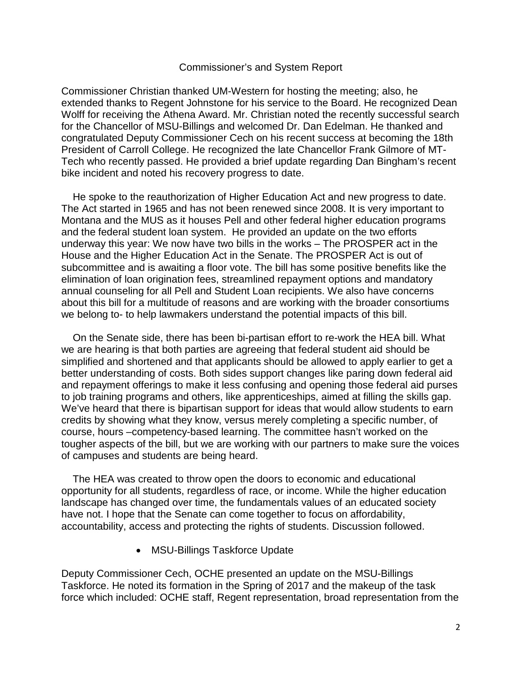#### Commissioner's and System Report

Commissioner Christian thanked UM-Western for hosting the meeting; also, he extended thanks to Regent Johnstone for his service to the Board. He recognized Dean Wolff for receiving the Athena Award. Mr. Christian noted the recently successful search for the Chancellor of MSU-Billings and welcomed Dr. Dan Edelman. He thanked and congratulated Deputy Commissioner Cech on his recent success at becoming the 18th President of Carroll College. He recognized the late Chancellor Frank Gilmore of MT-Tech who recently passed. He provided a brief update regarding Dan Bingham's recent bike incident and noted his recovery progress to date.

 He spoke to the reauthorization of Higher Education Act and new progress to date. The Act started in 1965 and has not been renewed since 2008. It is very important to Montana and the MUS as it houses Pell and other federal higher education programs and the federal student loan system. He provided an update on the two efforts underway this year: We now have two bills in the works – The PROSPER act in the House and the Higher Education Act in the Senate. The PROSPER Act is out of subcommittee and is awaiting a floor vote. The bill has some positive benefits like the elimination of loan origination fees, streamlined repayment options and mandatory annual counseling for all Pell and Student Loan recipients. We also have concerns about this bill for a multitude of reasons and are working with the broader consortiums we belong to- to help lawmakers understand the potential impacts of this bill.

 On the Senate side, there has been bi-partisan effort to re-work the HEA bill. What we are hearing is that both parties are agreeing that federal student aid should be simplified and shortened and that applicants should be allowed to apply earlier to get a better understanding of costs. Both sides support changes like paring down federal aid and repayment offerings to make it less confusing and opening those federal aid purses to job training programs and others, like apprenticeships, aimed at filling the skills gap. We've heard that there is bipartisan support for ideas that would allow students to earn credits by showing what they know, versus merely completing a specific number, of course, hours –competency-based learning. The committee hasn't worked on the tougher aspects of the bill, but we are working with our partners to make sure the voices of campuses and students are being heard.

 The HEA was created to throw open the doors to economic and educational opportunity for all students, regardless of race, or income. While the higher education landscape has changed over time, the fundamentals values of an educated society have not. I hope that the Senate can come together to focus on affordability, accountability, access and protecting the rights of students. Discussion followed.

• MSU-Billings Taskforce Update

Deputy Commissioner Cech, OCHE presented an update on the MSU-Billings Taskforce. He noted its formation in the Spring of 2017 and the makeup of the task force which included: OCHE staff, Regent representation, broad representation from the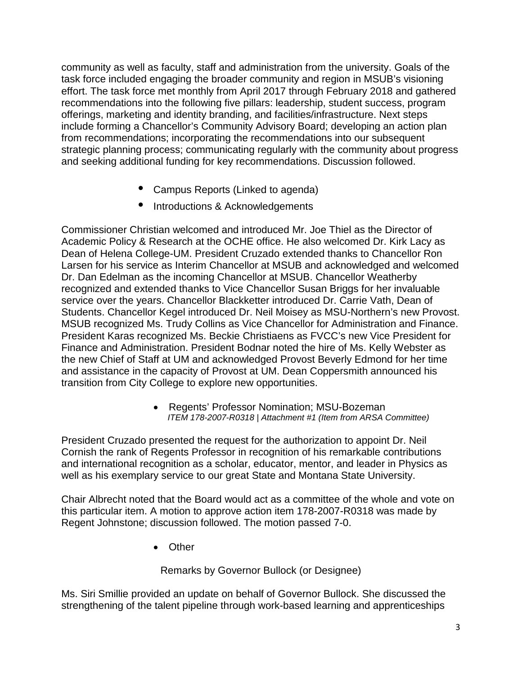community as well as faculty, staff and administration from the university. Goals of the task force included engaging the broader community and region in MSUB's visioning effort. The task force met monthly from April 2017 through February 2018 and gathered recommendations into the following five pillars: leadership, student success, program offerings, marketing and identity branding, and facilities/infrastructure. Next steps include forming a Chancellor's Community Advisory Board; developing an action plan from recommendations; incorporating the recommendations into our subsequent strategic planning process; communicating regularly with the community about progress and seeking additional funding for key recommendations. Discussion followed.

- Campus Reports (Linked to agenda)
- Introductions & Acknowledgements

Commissioner Christian welcomed and introduced Mr. Joe Thiel as the Director of Academic Policy & Research at the OCHE office. He also welcomed Dr. Kirk Lacy as Dean of Helena College-UM. President Cruzado extended thanks to Chancellor Ron Larsen for his service as Interim Chancellor at MSUB and acknowledged and welcomed Dr. Dan Edelman as the incoming Chancellor at MSUB. Chancellor Weatherby recognized and extended thanks to Vice Chancellor Susan Briggs for her invaluable service over the years. Chancellor Blackketter introduced Dr. Carrie Vath, Dean of Students. Chancellor Kegel introduced Dr. Neil Moisey as MSU-Northern's new Provost. MSUB recognized Ms. Trudy Collins as Vice Chancellor for Administration and Finance. President Karas recognized Ms. Beckie Christiaens as FVCC's new Vice President for Finance and Administration. President Bodnar noted the hire of Ms. Kelly Webster as the new Chief of Staff at UM and acknowledged Provost Beverly Edmond for her time and assistance in the capacity of Provost at UM. Dean Coppersmith announced his transition from City College to explore new opportunities.

• Regents' Professor Nomination; MSU-Bozeman *ITEM 178-2007-R0318 | Attachment #1 (Item from ARSA Committee)*

President Cruzado presented the request for the authorization to appoint Dr. Neil Cornish the rank of Regents Professor in recognition of his remarkable contributions and international recognition as a scholar, educator, mentor, and leader in Physics as well as his exemplary service to our great State and Montana State University.

Chair Albrecht noted that the Board would act as a committee of the whole and vote on this particular item. A motion to approve action item 178-2007-R0318 was made by Regent Johnstone; discussion followed. The motion passed 7-0.

• Other

Remarks by Governor Bullock (or Designee)

Ms. Siri Smillie provided an update on behalf of Governor Bullock. She discussed the strengthening of the talent pipeline through work-based learning and apprenticeships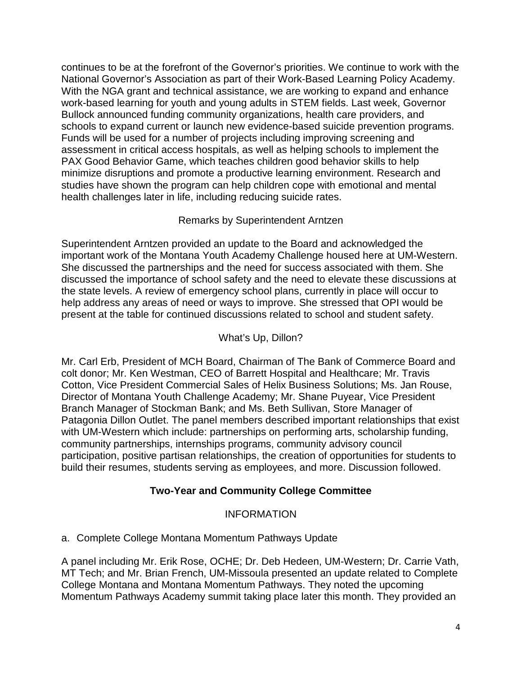continues to be at the forefront of the Governor's priorities. We continue to work with the National Governor's Association as part of their Work-Based Learning Policy Academy. With the NGA grant and technical assistance, we are working to expand and enhance work-based learning for youth and young adults in STEM fields. Last week, Governor Bullock announced funding community organizations, health care providers, and schools to expand current or launch new evidence-based suicide prevention programs. Funds will be used for a number of projects including improving screening and assessment in critical access hospitals, as well as helping schools to implement the PAX Good Behavior Game, which teaches children good behavior skills to help minimize disruptions and promote a productive learning environment. Research and studies have shown the program can help children cope with emotional and mental health challenges later in life, including reducing suicide rates.

## Remarks by Superintendent Arntzen

Superintendent Arntzen provided an update to the Board and acknowledged the important work of the Montana Youth Academy Challenge housed here at UM-Western. She discussed the partnerships and the need for success associated with them. She discussed the importance of school safety and the need to elevate these discussions at the state levels. A review of emergency school plans, currently in place will occur to help address any areas of need or ways to improve. She stressed that OPI would be present at the table for continued discussions related to school and student safety.

### What's Up, Dillon?

Mr. Carl Erb, President of MCH Board, Chairman of The Bank of Commerce Board and colt donor; Mr. Ken Westman, CEO of Barrett Hospital and Healthcare; Mr. Travis Cotton, Vice President Commercial Sales of Helix Business Solutions; Ms. Jan Rouse, Director of Montana Youth Challenge Academy; Mr. Shane Puyear, Vice President Branch Manager of Stockman Bank; and Ms. Beth Sullivan, Store Manager of Patagonia Dillon Outlet. The panel members described important relationships that exist with UM-Western which include: partnerships on performing arts, scholarship funding, community partnerships, internships programs, community advisory council participation, positive partisan relationships, the creation of opportunities for students to build their resumes, students serving as employees, and more. Discussion followed.

## **Two-Year and Community College Committee**

### INFORMATION

### a. Complete College Montana Momentum Pathways Update

A panel including Mr. Erik Rose, OCHE; Dr. Deb Hedeen, UM-Western; Dr. Carrie Vath, MT Tech; and Mr. Brian French, UM-Missoula presented an update related to Complete College Montana and Montana Momentum Pathways. They noted the upcoming Momentum Pathways Academy summit taking place later this month. They provided an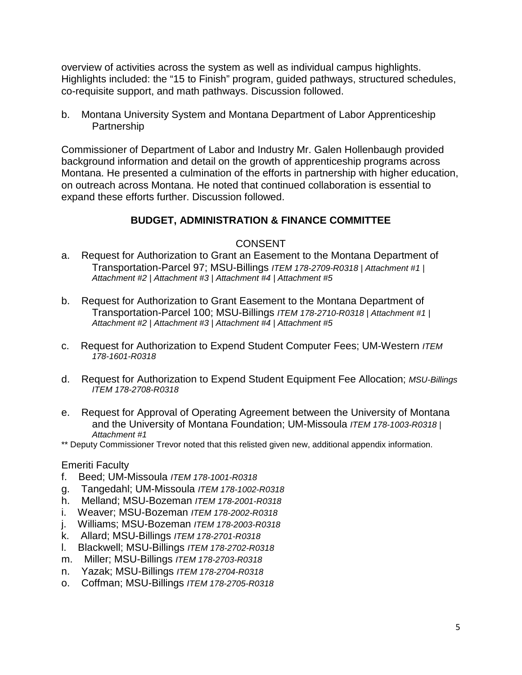overview of activities across the system as well as individual campus highlights. Highlights included: the "15 to Finish" program, guided pathways, structured schedules, co-requisite support, and math pathways. Discussion followed.

b. Montana University System and Montana Department of Labor Apprenticeship **Partnership** 

Commissioner of Department of Labor and Industry Mr. Galen Hollenbaugh provided background information and detail on the growth of apprenticeship programs across Montana. He presented a culmination of the efforts in partnership with higher education, on outreach across Montana. He noted that continued collaboration is essential to expand these efforts further. Discussion followed.

### **BUDGET, ADMINISTRATION & FINANCE COMMITTEE**

#### CONSENT

- a. Request for Authorization to Grant an Easement to the Montana Department of Transportation-Parcel 97; MSU-Billings *ITEM 178-2709-R0318 | Attachment #1 | Attachment #2 | Attachment #3 | Attachment #4 | Attachment #5*
- b. Request for Authorization to Grant Easement to the Montana Department of Transportation-Parcel 100; MSU-Billings *ITEM 178-2710-R0318 | Attachment #1 | Attachment #2 | Attachment #3 | Attachment #4 | Attachment #5*
- c. Request for Authorization to Expend Student Computer Fees; UM-Western *ITEM 178-1601-R0318*
- d. Request for Authorization to Expend Student Equipment Fee Allocation; *MSU-Billings ITEM 178-2708-R0318*
- e. Request for Approval of Operating Agreement between the University of Montana and the University of Montana Foundation; UM-Missoula *ITEM 178-1003-R0318 | Attachment #1*

\*\* Deputy Commissioner Trevor noted that this relisted given new, additional appendix information.

#### Emeriti Faculty

- f. Beed; UM-Missoula *ITEM 178-1001-R0318*
- g. Tangedahl; UM-Missoula *ITEM 178-1002-R0318*
- h. Melland; MSU-Bozeman *ITEM 178-2001-R0318*
- i. Weaver; MSU-Bozeman *ITEM 178-2002-R0318*
- j. Williams; MSU-Bozeman *ITEM 178-2003-R0318*
- k. Allard; MSU-Billings *ITEM 178-2701-R0318*
- l. Blackwell; MSU-Billings *ITEM 178-2702-R0318*
- m. Miller; MSU-Billings *ITEM 178-2703-R0318*
- n. Yazak; MSU-Billings *ITEM 178-2704-R0318*
- o. Coffman; MSU-Billings *ITEM 178-2705-R0318*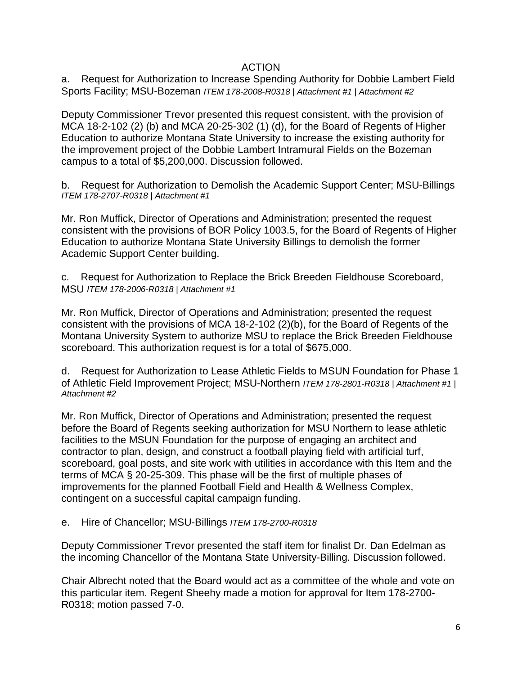#### ACTION

a. Request for Authorization to Increase Spending Authority for Dobbie Lambert Field Sports Facility; MSU-Bozeman *ITEM 178-2008-R0318 | Attachment #1 | Attachment #2*

Deputy Commissioner Trevor presented this request consistent, with the provision of MCA 18-2-102 (2) (b) and MCA 20-25-302 (1) (d), for the Board of Regents of Higher Education to authorize Montana State University to increase the existing authority for the improvement project of the Dobbie Lambert Intramural Fields on the Bozeman campus to a total of \$5,200,000. Discussion followed.

b. Request for Authorization to Demolish the Academic Support Center; MSU-Billings *ITEM 178-2707-R0318 | Attachment #1*

Mr. Ron Muffick, Director of Operations and Administration; presented the request consistent with the provisions of BOR Policy 1003.5, for the Board of Regents of Higher Education to authorize Montana State University Billings to demolish the former Academic Support Center building.

c. Request for Authorization to Replace the Brick Breeden Fieldhouse Scoreboard, MSU *ITEM 178-2006-R0318 | Attachment #1*

Mr. Ron Muffick, Director of Operations and Administration; presented the request consistent with the provisions of MCA 18-2-102 (2)(b), for the Board of Regents of the Montana University System to authorize MSU to replace the Brick Breeden Fieldhouse scoreboard. This authorization request is for a total of \$675,000.

d. Request for Authorization to Lease Athletic Fields to MSUN Foundation for Phase 1 of Athletic Field Improvement Project; MSU-Northern *ITEM 178-2801-R0318 | Attachment #1 | Attachment #2*

Mr. Ron Muffick, Director of Operations and Administration; presented the request before the Board of Regents seeking authorization for MSU Northern to lease athletic facilities to the MSUN Foundation for the purpose of engaging an architect and contractor to plan, design, and construct a football playing field with artificial turf, scoreboard, goal posts, and site work with utilities in accordance with this Item and the terms of MCA § 20-25-309. This phase will be the first of multiple phases of improvements for the planned Football Field and Health & Wellness Complex, contingent on a successful capital campaign funding.

e. Hire of Chancellor; MSU-Billings *ITEM 178-2700-R0318*

Deputy Commissioner Trevor presented the staff item for finalist Dr. Dan Edelman as the incoming Chancellor of the Montana State University-Billing. Discussion followed.

Chair Albrecht noted that the Board would act as a committee of the whole and vote on this particular item. Regent Sheehy made a motion for approval for Item 178-2700- R0318; motion passed 7-0.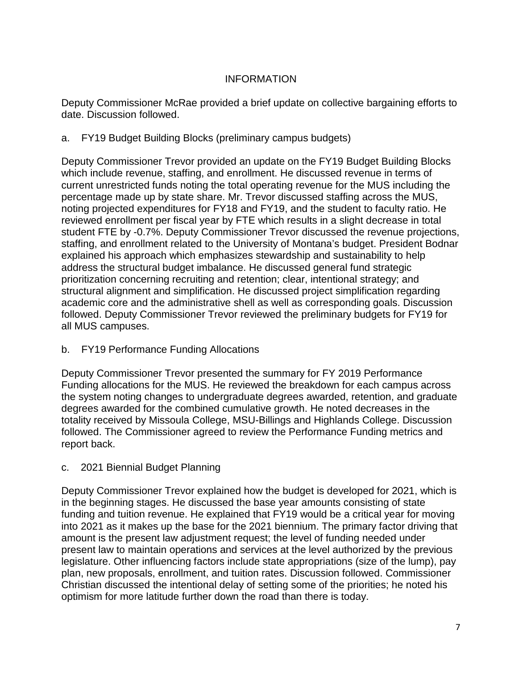### INFORMATION

Deputy Commissioner McRae provided a brief update on collective bargaining efforts to date. Discussion followed.

### a. FY19 Budget Building Blocks (preliminary campus budgets)

Deputy Commissioner Trevor provided an update on the FY19 Budget Building Blocks which include revenue, staffing, and enrollment. He discussed revenue in terms of current unrestricted funds noting the total operating revenue for the MUS including the percentage made up by state share. Mr. Trevor discussed staffing across the MUS, noting projected expenditures for FY18 and FY19, and the student to faculty ratio. He reviewed enrollment per fiscal year by FTE which results in a slight decrease in total student FTE by -0.7%. Deputy Commissioner Trevor discussed the revenue projections, staffing, and enrollment related to the University of Montana's budget. President Bodnar explained his approach which emphasizes stewardship and sustainability to help address the structural budget imbalance. He discussed general fund strategic prioritization concerning recruiting and retention; clear, intentional strategy; and structural alignment and simplification. He discussed project simplification regarding academic core and the administrative shell as well as corresponding goals. Discussion followed. Deputy Commissioner Trevor reviewed the preliminary budgets for FY19 for all MUS campuses.

### b. FY19 Performance Funding Allocations

Deputy Commissioner Trevor presented the summary for FY 2019 Performance Funding allocations for the MUS. He reviewed the breakdown for each campus across the system noting changes to undergraduate degrees awarded, retention, and graduate degrees awarded for the combined cumulative growth. He noted decreases in the totality received by Missoula College, MSU-Billings and Highlands College. Discussion followed. The Commissioner agreed to review the Performance Funding metrics and report back.

### c. 2021 Biennial Budget Planning

Deputy Commissioner Trevor explained how the budget is developed for 2021, which is in the beginning stages. He discussed the base year amounts consisting of state funding and tuition revenue. He explained that FY19 would be a critical year for moving into 2021 as it makes up the base for the 2021 biennium. The primary factor driving that amount is the present law adjustment request; the level of funding needed under present law to maintain operations and services at the level authorized by the previous legislature. Other influencing factors include state appropriations (size of the lump), pay plan, new proposals, enrollment, and tuition rates. Discussion followed. Commissioner Christian discussed the intentional delay of setting some of the priorities; he noted his optimism for more latitude further down the road than there is today.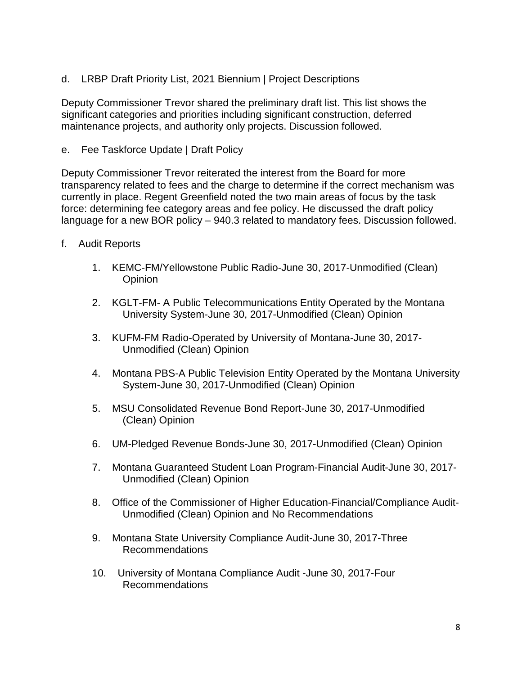d. LRBP Draft Priority List, 2021 Biennium | Project Descriptions

Deputy Commissioner Trevor shared the preliminary draft list. This list shows the significant categories and priorities including significant construction, deferred maintenance projects, and authority only projects. Discussion followed.

e. Fee Taskforce Update | Draft Policy

Deputy Commissioner Trevor reiterated the interest from the Board for more transparency related to fees and the charge to determine if the correct mechanism was currently in place. Regent Greenfield noted the two main areas of focus by the task force: determining fee category areas and fee policy. He discussed the draft policy language for a new BOR policy – 940.3 related to mandatory fees. Discussion followed.

- f. Audit Reports
	- 1. KEMC-FM/Yellowstone Public Radio-June 30, 2017-Unmodified (Clean) **Opinion**
	- 2. KGLT-FM- A Public Telecommunications Entity Operated by the Montana University System-June 30, 2017-Unmodified (Clean) Opinion
	- 3. KUFM-FM Radio-Operated by University of Montana-June 30, 2017- Unmodified (Clean) Opinion
	- 4. Montana PBS-A Public Television Entity Operated by the Montana University System-June 30, 2017-Unmodified (Clean) Opinion
	- 5. MSU Consolidated Revenue Bond Report-June 30, 2017-Unmodified (Clean) Opinion
	- 6. UM-Pledged Revenue Bonds-June 30, 2017-Unmodified (Clean) Opinion
	- 7. Montana Guaranteed Student Loan Program-Financial Audit-June 30, 2017- Unmodified (Clean) Opinion
	- 8. Office of the Commissioner of Higher Education-Financial/Compliance Audit-Unmodified (Clean) Opinion and No Recommendations
	- 9. Montana State University Compliance Audit-June 30, 2017-Three Recommendations
	- 10. University of Montana Compliance Audit -June 30, 2017-Four Recommendations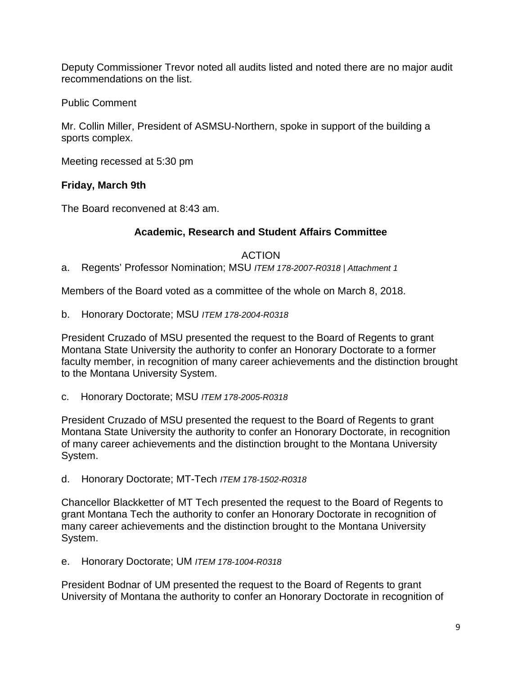Deputy Commissioner Trevor noted all audits listed and noted there are no major audit recommendations on the list.

Public Comment

Mr. Collin Miller, President of ASMSU-Northern, spoke in support of the building a sports complex.

Meeting recessed at 5:30 pm

## **Friday, March 9th**

The Board reconvened at 8:43 am.

## **Academic, Research and Student Affairs Committee**

ACTION

a. Regents' Professor Nomination; MSU *ITEM 178-2007-R0318 | Attachment 1*

Members of the Board voted as a committee of the whole on March 8, 2018.

b. Honorary Doctorate; MSU *ITEM 178-2004-R0318*

President Cruzado of MSU presented the request to the Board of Regents to grant Montana State University the authority to confer an Honorary Doctorate to a former faculty member, in recognition of many career achievements and the distinction brought to the Montana University System.

c. Honorary Doctorate; MSU *ITEM 178-2005-R0318*

President Cruzado of MSU presented the request to the Board of Regents to grant Montana State University the authority to confer an Honorary Doctorate, in recognition of many career achievements and the distinction brought to the Montana University System.

d. Honorary Doctorate; MT-Tech *ITEM 178-1502-R0318*

Chancellor Blackketter of MT Tech presented the request to the Board of Regents to grant Montana Tech the authority to confer an Honorary Doctorate in recognition of many career achievements and the distinction brought to the Montana University System.

e. Honorary Doctorate; UM *ITEM 178-1004-R0318*

President Bodnar of UM presented the request to the Board of Regents to grant University of Montana the authority to confer an Honorary Doctorate in recognition of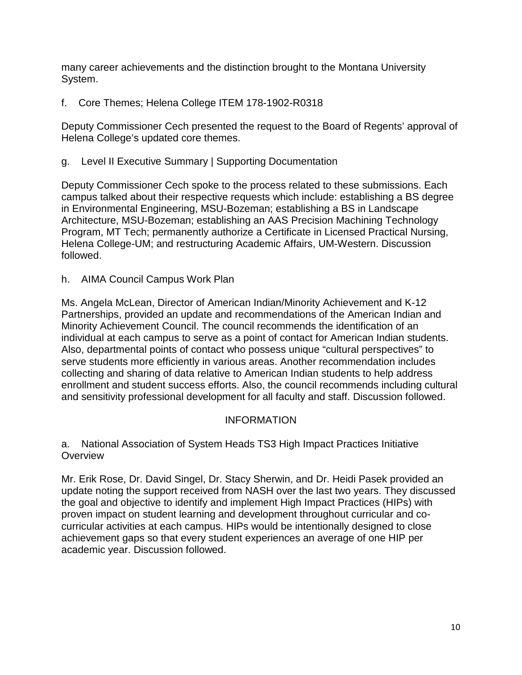many career achievements and the distinction brought to the Montana University System.

f. Core Themes; Helena College ITEM 178-1902-R0318

Deputy Commissioner Cech presented the request to the Board of Regents' approval of Helena College's updated core themes.

g. Level II Executive Summary | Supporting Documentation

Deputy Commissioner Cech spoke to the process related to these submissions. Each campus talked about their respective requests which include: establishing a BS degree in Environmental Engineering, MSU-Bozeman; establishing a BS in Landscape Architecture, MSU-Bozeman; establishing an AAS Precision Machining Technology Program, MT Tech; permanently authorize a Certificate in Licensed Practical Nursing, Helena College-UM; and restructuring Academic Affairs, UM-Western. Discussion followed.

h. AIMA Council Campus Work Plan

Ms. Angela McLean, Director of American Indian/Minority Achievement and K-12 Partnerships, provided an update and recommendations of the American Indian and Minority Achievement Council. The council recommends the identification of an individual at each campus to serve as a point of contact for American Indian students. Also, departmental points of contact who possess unique "cultural perspectives" to serve students more efficiently in various areas. Another recommendation includes collecting and sharing of data relative to American Indian students to help address enrollment and student success efforts. Also, the council recommends including cultural and sensitivity professional development for all faculty and staff. Discussion followed.

#### INFORMATION

a. National Association of System Heads TS3 High Impact Practices Initiative **Overview** 

Mr. Erik Rose, Dr. David Singel, Dr. Stacy Sherwin, and Dr. Heidi Pasek provided an update noting the support received from NASH over the last two years. They discussed the goal and objective to identify and implement High Impact Practices (HIPs) with proven impact on student learning and development throughout curricular and cocurricular activities at each campus. HIPs would be intentionally designed to close achievement gaps so that every student experiences an average of one HIP per academic year. Discussion followed.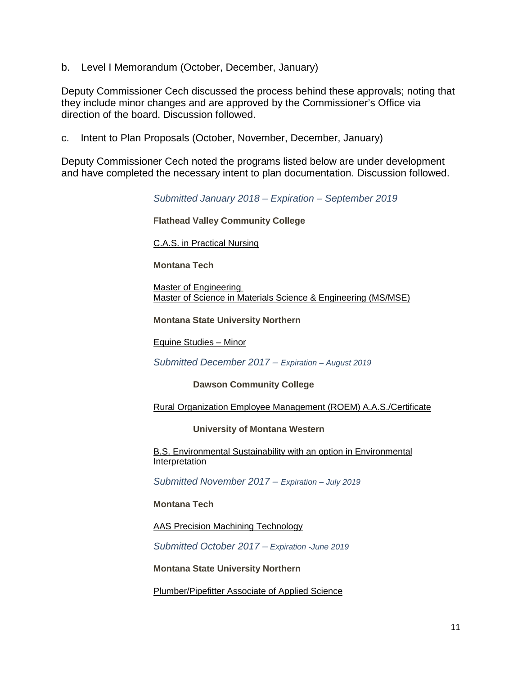b. Level I Memorandum (October, December, January)

Deputy Commissioner Cech discussed the process behind these approvals; noting that they include minor changes and are approved by the Commissioner's Office via direction of the board. Discussion followed.

c. Intent to Plan Proposals (October, November, December, January)

Deputy Commissioner Cech noted the programs listed below are under development and have completed the necessary intent to plan documentation. Discussion followed.

*Submitted January 2018 – Expiration – September 2019*

**Flathead Valley Community College**

[C.A.S. in Practical Nursing](http://mus.edu/che/arsa/IntenttoPlan/2018/FVCC-Practical-Nursing-IP.PDF)

**Montana Tech**

[Master of Engineering](http://mus.edu/che/arsa/IntenttoPlan/2018/MTech-Master-of-Engineering-IP.PDF) [Master of Science in Materials Science](http://mus.edu/che/arsa/IntenttoPlan/2018/MTech-MS-Materials-Science-Engineering-IP.PDF) & Engineering (MS/MSE)

**Montana State University Northern**

[Equine Studies –](http://mus.edu/che/arsa/IntenttoPlan/2018/MSU-Northern-Equine-Minor-IP.pdf) Minor

*Submitted December 2017 – Expiration – August 2019*

**Dawson Community College**

[Rural Organization Employee Management \(ROEM\) A.A.S./Certificate](http://mus.edu/che/arsa/IntenttoPlan/2017/DCC/DCC-Intent-to-Plan-RuralOrganizationEmployeeManagement.pdf)

**University of Montana Western**

[B.S. Environmental Sustainability with an option in Environmental](http://mus.edu/che/arsa/IntenttoPlan/2017/UMW/UMW-BS-Environmental-Sustainability-Intent-to-Plan-20180118.pdf)  **[Interpretation](http://mus.edu/che/arsa/IntenttoPlan/2017/UMW/UMW-BS-Environmental-Sustainability-Intent-to-Plan-20180118.pdf)** 

*Submitted November 2017 – Expiration – July 2019*

**Montana Tech**

[AAS Precision Machining Technology](http://mus.edu/che/arsa/IntenttoPlan/2017/MTECH/I2P-MTTech-AAS-Precision-Machining-Tech.pdf)

*Submitted October 2017 – Expiration -June 2019*

**Montana State University Northern**

[Plumber/Pipefitter Associate of Applied Science](http://mus.edu/che/arsa/IntenttoPlan/2017/MSUN/MSU-Northern-Pipefitters-AAS.PDF)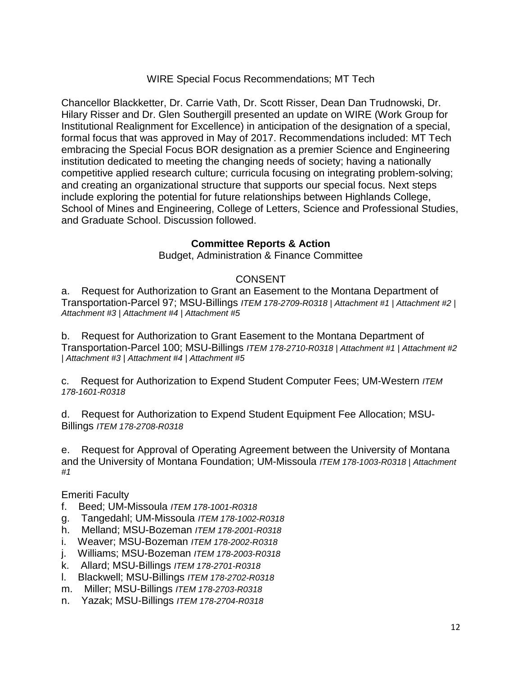### WIRE Special Focus Recommendations; MT Tech

Chancellor Blackketter, Dr. Carrie Vath, Dr. Scott Risser, Dean Dan Trudnowski, Dr. Hilary Risser and Dr. Glen Southergill presented an update on WIRE (Work Group for Institutional Realignment for Excellence) in anticipation of the designation of a special, formal focus that was approved in May of 2017. Recommendations included: MT Tech embracing the Special Focus BOR designation as a premier Science and Engineering institution dedicated to meeting the changing needs of society; having a nationally competitive applied research culture; curricula focusing on integrating problem-solving; and creating an organizational structure that supports our special focus. Next steps include exploring the potential for future relationships between Highlands College, School of Mines and Engineering, College of Letters, Science and Professional Studies, and Graduate School. Discussion followed.

#### **Committee Reports & Action**

Budget, Administration & Finance Committee

#### CONSENT

a. Request for Authorization to Grant an Easement to the Montana Department of Transportation-Parcel 97; MSU-Billings *ITEM 178-2709-R0318 | Attachment #1 | Attachment #2 | Attachment #3 | Attachment #4 | Attachment #5*

b. Request for Authorization to Grant Easement to the Montana Department of Transportation-Parcel 100; MSU-Billings *ITEM 178-2710-R0318 | Attachment #1 | Attachment #2 | Attachment #3 | Attachment #4 | Attachment #5*

c. Request for Authorization to Expend Student Computer Fees; UM-Western *ITEM 178-1601-R0318*

d. Request for Authorization to Expend Student Equipment Fee Allocation; MSU-Billings *ITEM 178-2708-R0318*

e. Request for Approval of Operating Agreement between the University of Montana and the University of Montana Foundation; UM-Missoula *ITEM 178-1003-R0318 | Attachment #1*

#### Emeriti Faculty

- f. Beed; UM-Missoula *ITEM 178-1001-R0318*
- g. Tangedahl; UM-Missoula *ITEM 178-1002-R0318*
- h. Melland; MSU-Bozeman *ITEM 178-2001-R0318*
- i. Weaver; MSU-Bozeman *ITEM 178-2002-R0318*
- j. Williams; MSU-Bozeman *ITEM 178-2003-R0318*
- k. Allard; MSU-Billings *ITEM 178-2701-R0318*
- l. Blackwell; MSU-Billings *ITEM 178-2702-R0318*
- m. Miller; MSU-Billings *ITEM 178-2703-R0318*
- n. Yazak; MSU-Billings *ITEM 178-2704-R0318*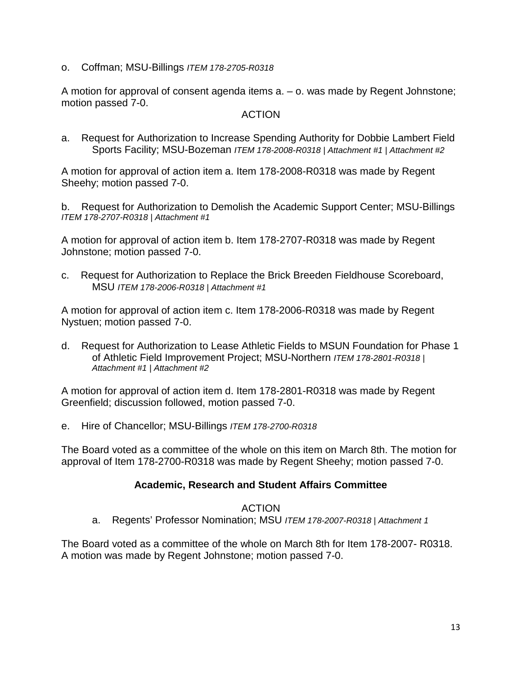o. Coffman; MSU-Billings *ITEM 178-2705-R0318*

A motion for approval of consent agenda items a. – o. was made by Regent Johnstone; motion passed 7-0.

#### ACTION

a. Request for Authorization to Increase Spending Authority for Dobbie Lambert Field Sports Facility; MSU-Bozeman *ITEM 178-2008-R0318 | Attachment #1 | Attachment #2*

A motion for approval of action item a. Item 178-2008-R0318 was made by Regent Sheehy; motion passed 7-0.

b. Request for Authorization to Demolish the Academic Support Center; MSU-Billings *ITEM 178-2707-R0318 | Attachment #1*

A motion for approval of action item b. Item 178-2707-R0318 was made by Regent Johnstone; motion passed 7-0.

c. Request for Authorization to Replace the Brick Breeden Fieldhouse Scoreboard, MSU *ITEM 178-2006-R0318 | Attachment #1* 

A motion for approval of action item c. Item 178-2006-R0318 was made by Regent Nystuen; motion passed 7-0.

d. Request for Authorization to Lease Athletic Fields to MSUN Foundation for Phase 1 of Athletic Field Improvement Project; MSU-Northern *ITEM 178-2801-R0318 | Attachment #1 | Attachment #2*

A motion for approval of action item d. Item 178-2801-R0318 was made by Regent Greenfield; discussion followed, motion passed 7-0.

e. Hire of Chancellor; MSU-Billings *ITEM 178-2700-R0318*

The Board voted as a committee of the whole on this item on March 8th. The motion for approval of Item 178-2700-R0318 was made by Regent Sheehy; motion passed 7-0.

### **Academic, Research and Student Affairs Committee**

#### ACTION

a. Regents' Professor Nomination; MSU *ITEM 178-2007-R0318 | Attachment 1*

The Board voted as a committee of the whole on March 8th for Item 178-2007- R0318. A motion was made by Regent Johnstone; motion passed 7-0.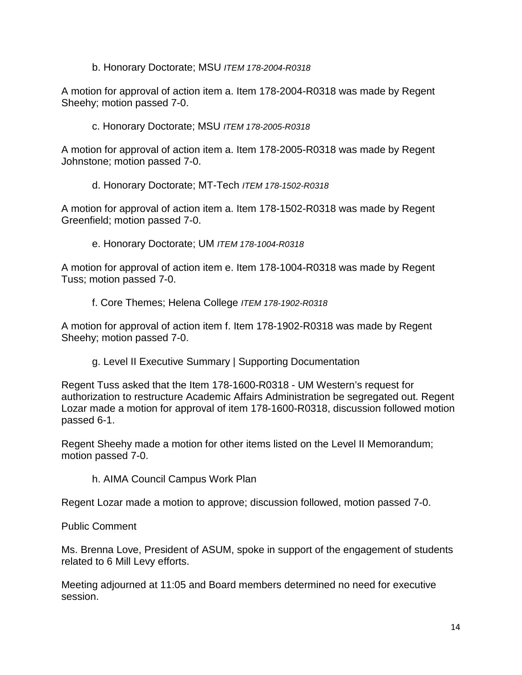b. Honorary Doctorate; MSU *ITEM 178-2004-R0318*

A motion for approval of action item a. Item 178-2004-R0318 was made by Regent Sheehy; motion passed 7-0.

c. Honorary Doctorate; MSU *ITEM 178-2005-R0318*

A motion for approval of action item a. Item 178-2005-R0318 was made by Regent Johnstone; motion passed 7-0.

d. Honorary Doctorate; MT-Tech *ITEM 178-1502-R0318*

A motion for approval of action item a. Item 178-1502-R0318 was made by Regent Greenfield; motion passed 7-0.

e. Honorary Doctorate; UM *ITEM 178-1004-R0318*

A motion for approval of action item e. Item 178-1004-R0318 was made by Regent Tuss; motion passed 7-0.

f. Core Themes; Helena College *ITEM 178-1902-R0318*

A motion for approval of action item f. Item 178-1902-R0318 was made by Regent Sheehy; motion passed 7-0.

g. Level II Executive Summary | Supporting Documentation

Regent Tuss asked that the Item 178-1600-R0318 - UM Western's request for authorization to restructure Academic Affairs Administration be segregated out. Regent Lozar made a motion for approval of item 178-1600-R0318, discussion followed motion passed 6-1.

Regent Sheehy made a motion for other items listed on the Level II Memorandum; motion passed 7-0.

h. AIMA Council Campus Work Plan

Regent Lozar made a motion to approve; discussion followed, motion passed 7-0.

#### Public Comment

Ms. Brenna Love, President of ASUM, spoke in support of the engagement of students related to 6 Mill Levy efforts.

Meeting adjourned at 11:05 and Board members determined no need for executive session.